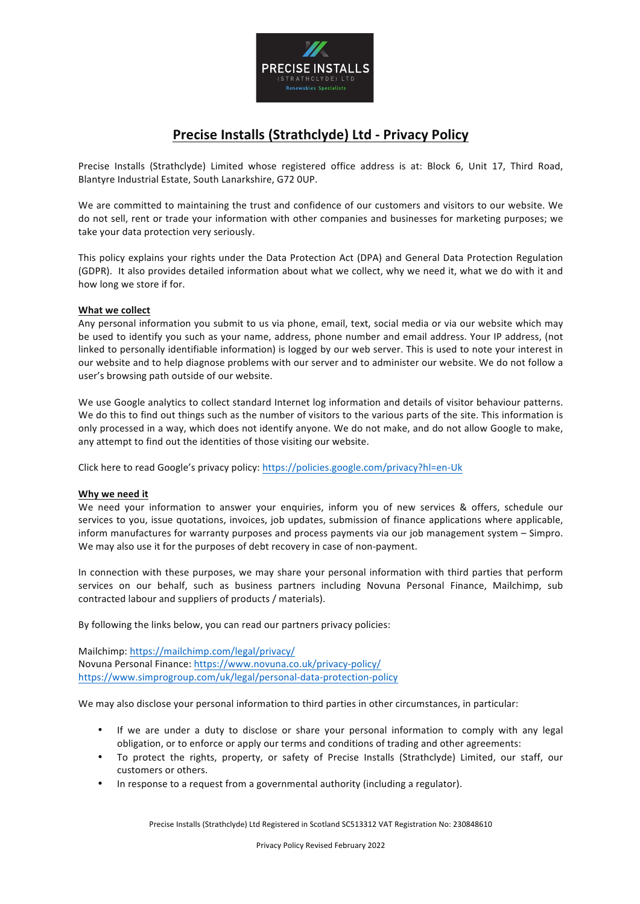

# **Precise Installs (Strathclyde) Ltd - Privacy Policy**

Precise Installs (Strathclyde) Limited whose registered office address is at: Block 6, Unit 17, Third Road, Blantyre Industrial Estate, South Lanarkshire, G72 OUP.

We are committed to maintaining the trust and confidence of our customers and visitors to our website. We do not sell, rent or trade your information with other companies and businesses for marketing purposes; we take your data protection very seriously.

This policy explains your rights under the Data Protection Act (DPA) and General Data Protection Regulation (GDPR). It also provides detailed information about what we collect, why we need it, what we do with it and how long we store if for.

# **What we collect**

Any personal information you submit to us via phone, email, text, social media or via our website which may be used to identify you such as your name, address, phone number and email address. Your IP address, (not linked to personally identifiable information) is logged by our web server. This is used to note your interest in our website and to help diagnose problems with our server and to administer our website. We do not follow a user's browsing path outside of our website.

We use Google analytics to collect standard Internet log information and details of visitor behaviour patterns. We do this to find out things such as the number of visitors to the various parts of the site. This information is only processed in a way, which does not identify anyone. We do not make, and do not allow Google to make, any attempt to find out the identities of those visiting our website.

Click here to read Google's privacy policy: https://policies.google.com/privacy?hl=en-Uk

## Why we need it

We need your information to answer your enquiries, inform you of new services & offers, schedule our services to you, issue quotations, invoices, job updates, submission of finance applications where applicable, inform manufactures for warranty purposes and process payments via our job management system - Simpro. We may also use it for the purposes of debt recovery in case of non-payment.

In connection with these purposes, we may share your personal information with third parties that perform services on our behalf, such as business partners including Novuna Personal Finance, Mailchimp, sub contracted labour and suppliers of products / materials).

By following the links below, you can read our partners privacy policies:

Mailchimp: https://mailchimp.com/legal/privacy/ Novuna Personal Finance: https://www.novuna.co.uk/privacy-policy/ https://www.simprogroup.com/uk/legal/personal-data-protection-policy

We may also disclose your personal information to third parties in other circumstances, in particular:

- If we are under a duty to disclose or share your personal information to comply with any legal obligation, or to enforce or apply our terms and conditions of trading and other agreements:
- To protect the rights, property, or safety of Precise Installs (Strathclyde) Limited, our staff, our customers or others.
- In response to a request from a governmental authority (including a regulator).

Precise Installs (Strathclyde) Ltd Registered in Scotland SC513312 VAT Registration No: 230848610